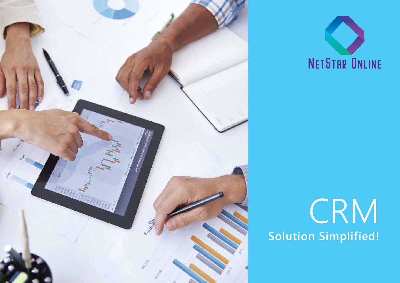



# **CRM Solution Simplified!**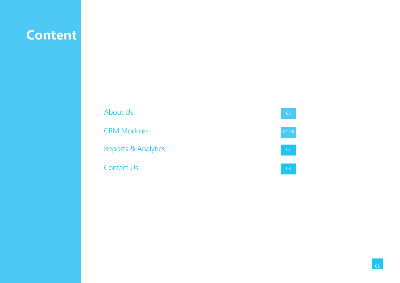# **Content**

About Us CRM Modules Contact Us Reports & Analytics  $\boxed{04-06}$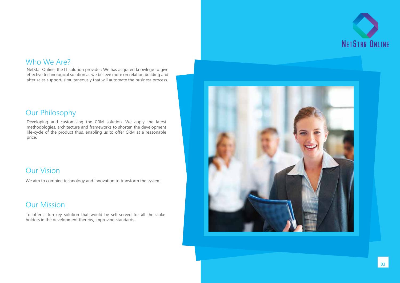

#### Who We Are?

NetStar Online, the IT solution provider. We has acquired knowlege to give effective technological solution as we believe more on relation building and after sales support, simultaneously that will automate the business process.

#### Our Philosophy

Developing and customising the CRM solution. We apply the latest methodologies, architecture and frameworks to shorten the development life-cycle of the product thus, enabling us to offer CRM at a reasonable price.

### Our Vision

We aim to combine technology and innovation to transform the system.

### Our Mission

To offer a turnkey solution that would be self-served for all the stake holders in the development thereby, improving standards.

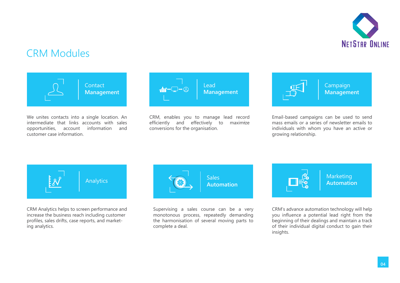

## CRM Modules



We unites contacts into a single location. An intermediate that links accounts with sales opportunities, account information and customer case information.



*-* CRM, enables you to manage lead record  $efficiently$  and  $effectively$  to conversions for the organisation.



Campaign **Management** 

Email-based campaigns can be used to send mass emails or a series of newsletter emails to individuals with whom you have an active or growing relationship.



CRM Analytics helps to screen performance and increase the business reach including customer profiles, sales drifts, case reports, and marketing analytics.



Supervising a sales course can be a very monotonous process, repeatedly demanding the harmonisation of several moving parts to complete a deal.



Marketing **Automation**

CRM's advance automation technology will help you influence a potential lead right from the beginning of their dealings and maintain a track of their individual digital conduct to gain their insights.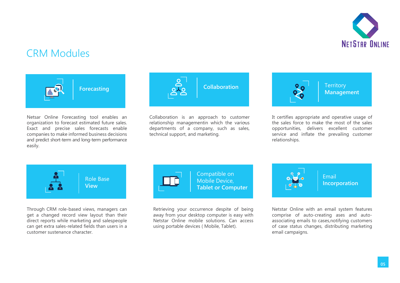

## CRM Modules



Netsar Online Forecasting tool enables an organization to forecast estimated future sales. Exact and precise sales forecasts enable companies to make informed business decisions and predict short-term and long-term performance easily.



relationship managementin which the various Collaboration is an approach to customer departments of a company, such as sales, technical support, and marketing.



It certifies appropriate and operative usage of the sales force to make the most of the sales opportunities, delivers excellent customer service and inflate the prevailing customer relationships.



Through CRM role-based views, managers can get a changed record view layout than their direct reports while marketing and salespeople can get extra sales-related fields than users in a customer sustenance character.



Retrieving your occurrence despite of being away from your desktop computer is easy with Netstar Online mobile solutions. Can access using portable devices ( Mobile, Tablet).



Netstar Online with an email system features comprise of auto-creating ases and autoassociating emails to cases,notifying customers of case status changes, distributing marketing email campaigns.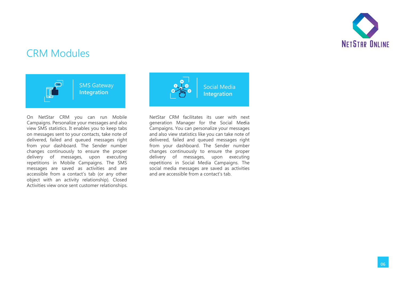

## CRM Modules



On NetStar CRM you can run Mobile Campaigns. Personalize your messages and also view SMS statistics. It enables you to keep tabs on messages sent to your contacts, take note of delivered, failed and queued messages right from your dashboard. The Sender number changes continuously to ensure the proper delivery of messages, upon executing repetitions in Mobile Campaigns. The SMS messages are saved as activities and are accessible from a contact's tab (or any other object with an activity relationship). Closed Activities view once sent customer relationships.



*-* generation Manager for the Social Media NetStar CRM facilitates its user with next Campaigns. You can personalize your messages and also view statistics like you can take note of delivered, failed and queued messages right from your dashboard. The Sender number changes continuously to ensure the proper delivery of messages, upon executing repetitions in Social Media Campaigns. The social media messages are saved as activities and are accessible from a contact's tab.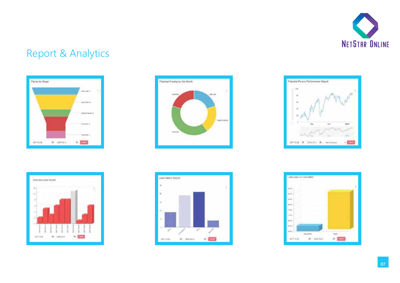

## Report & Analytics



w

annius